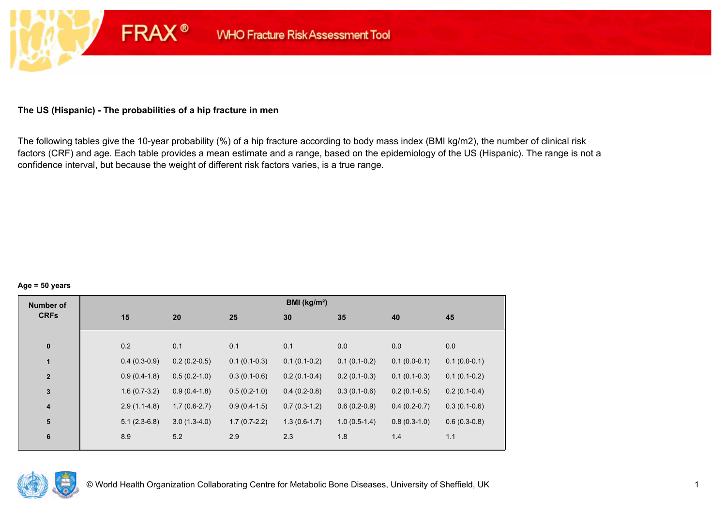# **The US (Hispanic) - The probabilities of a hip fracture in men**

**FRAX®** 

The following tables give the 10-year probability (%) of a hip fracture according to body mass index (BMI kg/m2), the number of clinical risk factors (CRF) and age. Each table provides a mean estimate and a range, based on the epidemiology of the US (Hispanic). The range is not a confidence interval, but because the weight of different risk factors varies, is a true range.

#### **Age = 50 years**

| <b>Number of</b>        |                |                |                | BMI (kg/m <sup>2</sup> ) |                |                |                |
|-------------------------|----------------|----------------|----------------|--------------------------|----------------|----------------|----------------|
| <b>CRFs</b>             | 15             | 20             | 25             | 30                       | 35             | 40             | 45             |
|                         |                |                |                |                          |                |                |                |
| $\pmb{0}$               | 0.2            | 0.1            | 0.1            | 0.1                      | 0.0            | 0.0            | 0.0            |
| 1                       | $0.4(0.3-0.9)$ | $0.2(0.2-0.5)$ | $0.1(0.1-0.3)$ | $0.1(0.1-0.2)$           | $0.1(0.1-0.2)$ | $0.1(0.0-0.1)$ | $0.1(0.0-0.1)$ |
| $\mathbf{2}$            | $0.9(0.4-1.8)$ | $0.5(0.2-1.0)$ | $0.3(0.1-0.6)$ | $0.2(0.1-0.4)$           | $0.2(0.1-0.3)$ | $0.1(0.1-0.3)$ | $0.1(0.1-0.2)$ |
| $\mathbf 3$             | $1.6(0.7-3.2)$ | $0.9(0.4-1.8)$ | $0.5(0.2-1.0)$ | $0.4(0.2-0.8)$           | $0.3(0.1-0.6)$ | $0.2(0.1-0.5)$ | $0.2(0.1-0.4)$ |
| $\overline{\mathbf{4}}$ | $2.9(1.1-4.8)$ | $1.7(0.6-2.7)$ | $0.9(0.4-1.5)$ | $0.7(0.3-1.2)$           | $0.6(0.2-0.9)$ | $0.4(0.2-0.7)$ | $0.3(0.1-0.6)$ |
| 5                       | $5.1(2.3-6.8)$ | $3.0(1.3-4.0)$ | $1.7(0.7-2.2)$ | $1.3(0.6-1.7)$           | $1.0(0.5-1.4)$ | $0.8(0.3-1.0)$ | $0.6(0.3-0.8)$ |
| 6                       | 8.9            | 5.2            | 2.9            | 2.3                      | 1.8            | 1.4            | 1.1            |
|                         |                |                |                |                          |                |                |                |

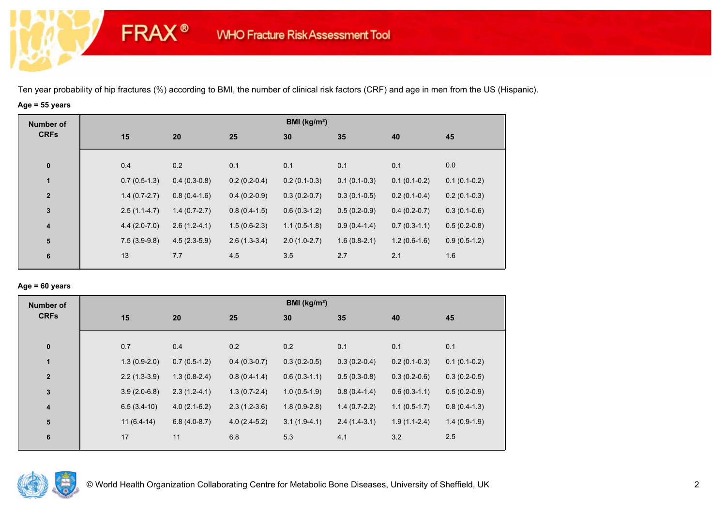# **Age = 55 years**

**FRAX®** 

| <b>Number of</b>        |                |                |                | BMI ( $kg/m2$ ) |                |                |                |
|-------------------------|----------------|----------------|----------------|-----------------|----------------|----------------|----------------|
| <b>CRFs</b>             | 15             | 20             | 25             | 30              | 35             | 40             | 45             |
| $\bf{0}$                | 0.4            | 0.2            | 0.1            | 0.1             | 0.1            | 0.1            | 0.0            |
| $\mathbf{1}$            | $0.7(0.5-1.3)$ | $0.4(0.3-0.8)$ | $0.2(0.2-0.4)$ | $0.2(0.1-0.3)$  | $0.1(0.1-0.3)$ | $0.1(0.1-0.2)$ | $0.1(0.1-0.2)$ |
| $\overline{2}$          | $1.4(0.7-2.7)$ | $0.8(0.4-1.6)$ | $0.4(0.2-0.9)$ | $0.3(0.2-0.7)$  | $0.3(0.1-0.5)$ | $0.2(0.1-0.4)$ | $0.2(0.1-0.3)$ |
| $\mathbf{3}$            | $2.5(1.1-4.7)$ | $1.4(0.7-2.7)$ | $0.8(0.4-1.5)$ | $0.6(0.3-1.2)$  | $0.5(0.2-0.9)$ | $0.4(0.2-0.7)$ | $0.3(0.1-0.6)$ |
| $\overline{\mathbf{4}}$ | $4.4(2.0-7.0)$ | $2.6(1.2-4.1)$ | $1.5(0.6-2.3)$ | $1.1(0.5-1.8)$  | $0.9(0.4-1.4)$ | $0.7(0.3-1.1)$ | $0.5(0.2-0.8)$ |
| ${\bf 5}$               | $7.5(3.9-9.8)$ | $4.5(2.3-5.9)$ | $2.6(1.3-3.4)$ | $2.0(1.0-2.7)$  | $1.6(0.8-2.1)$ | $1.2(0.6-1.6)$ | $0.9(0.5-1.2)$ |
| 6                       | 13             | 7.7            | 4.5            | 3.5             | 2.7            | 2.1            | 1.6            |

### **Age = 60 years**

| <b>Number of</b>        |     |                |                |                | BMI ( $kg/m2$ ) |                |                |                |
|-------------------------|-----|----------------|----------------|----------------|-----------------|----------------|----------------|----------------|
| <b>CRFs</b>             | 15  |                | 20             | 25             | 30              | 35             | 40             | 45             |
| $\pmb{0}$               | 0.7 |                | 0.4            | 0.2            | 0.2             | 0.1            | 0.1            | 0.1            |
| $\mathbf{1}$            |     | $1.3(0.9-2.0)$ | $0.7(0.5-1.2)$ | $0.4(0.3-0.7)$ | $0.3(0.2-0.5)$  | $0.3(0.2-0.4)$ | $0.2(0.1-0.3)$ | $0.1(0.1-0.2)$ |
| $\overline{2}$          |     | $2.2(1.3-3.9)$ | $1.3(0.8-2.4)$ | $0.8(0.4-1.4)$ | $0.6(0.3-1.1)$  | $0.5(0.3-0.8)$ | $0.3(0.2-0.6)$ | $0.3(0.2-0.5)$ |
| 3                       |     | $3.9(2.0-6.8)$ | $2.3(1.2-4.1)$ | $1.3(0.7-2.4)$ | $1.0(0.5-1.9)$  | $0.8(0.4-1.4)$ | $0.6(0.3-1.1)$ | $0.5(0.2-0.9)$ |
| $\overline{\mathbf{4}}$ |     | $6.5(3.4-10)$  | $4.0(2.1-6.2)$ | $2.3(1.2-3.6)$ | $1.8(0.9-2.8)$  | $1.4(0.7-2.2)$ | $1.1(0.5-1.7)$ | $0.8(0.4-1.3)$ |
| 5                       |     | $11(6.4-14)$   | $6.8(4.0-8.7)$ | $4.0(2.4-5.2)$ | $3.1(1.9-4.1)$  | $2.4(1.4-3.1)$ | $1.9(1.1-2.4)$ | $1.4(0.9-1.9)$ |
| 6                       | 17  |                | 11             | 6.8            | 5.3             | 4.1            | 3.2            | 2.5            |

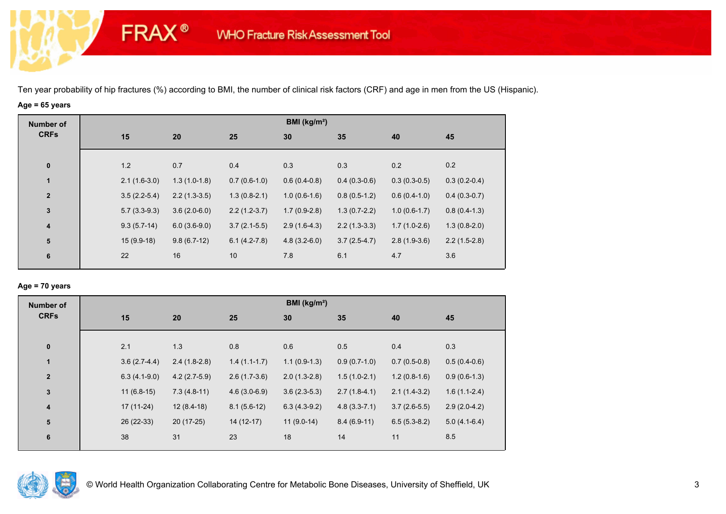# **Age = 65 years**

**FRAX®** 

| <b>Number of</b>        |                |                |                | BMI (kg/m <sup>2</sup> ) |                |                |                |
|-------------------------|----------------|----------------|----------------|--------------------------|----------------|----------------|----------------|
| <b>CRFs</b>             | 15             | 20             | 25             | 30                       | 35             | 40             | 45             |
|                         |                |                |                |                          |                |                |                |
| $\bf{0}$                | 1.2            | 0.7            | 0.4            | 0.3                      | 0.3            | 0.2            | 0.2            |
| $\mathbf{1}$            | $2.1(1.6-3.0)$ | $1.3(1.0-1.8)$ | $0.7(0.6-1.0)$ | $0.6(0.4-0.8)$           | $0.4(0.3-0.6)$ | $0.3(0.3-0.5)$ | $0.3(0.2-0.4)$ |
| $\overline{\mathbf{2}}$ | $3.5(2.2-5.4)$ | $2.2(1.3-3.5)$ | $1.3(0.8-2.1)$ | $1.0(0.6-1.6)$           | $0.8(0.5-1.2)$ | $0.6(0.4-1.0)$ | $0.4(0.3-0.7)$ |
| $\mathbf{3}$            | $5.7(3.3-9.3)$ | $3.6(2.0-6.0)$ | $2.2(1.2-3.7)$ | $1.7(0.9-2.8)$           | $1.3(0.7-2.2)$ | $1.0(0.6-1.7)$ | $0.8(0.4-1.3)$ |
| $\overline{\mathbf{4}}$ | $9.3(5.7-14)$  | $6.0(3.6-9.0)$ | $3.7(2.1-5.5)$ | $2.9(1.6-4.3)$           | $2.2(1.3-3.3)$ | $1.7(1.0-2.6)$ | $1.3(0.8-2.0)$ |
| $5\phantom{.0}$         | $15(9.9-18)$   | $9.8(6.7-12)$  | $6.1(4.2-7.8)$ | $4.8(3.2-6.0)$           | $3.7(2.5-4.7)$ | $2.8(1.9-3.6)$ | $2.2(1.5-2.8)$ |
| 6                       | 22             | 16             | 10             | 7.8                      | 6.1            | 4.7            | 3.6            |
|                         |                |                |                |                          |                |                |                |

### **Age = 70 years**

| <b>Number of</b>        |                |                |                | BMI ( $kg/m2$ ) |                |                |                |
|-------------------------|----------------|----------------|----------------|-----------------|----------------|----------------|----------------|
| <b>CRFs</b>             | 15             | 20             | 25             | 30              | 35             | 40             | 45             |
|                         |                |                |                |                 |                |                |                |
| $\pmb{0}$               | 2.1            | 1.3            | 0.8            | 0.6             | 0.5            | 0.4            | 0.3            |
| 1                       | $3.6(2.7-4.4)$ | $2.4(1.8-2.8)$ | $1.4(1.1-1.7)$ | $1.1(0.9-1.3)$  | $0.9(0.7-1.0)$ | $0.7(0.5-0.8)$ | $0.5(0.4-0.6)$ |
| $\overline{2}$          | $6.3(4.1-9.0)$ | $4.2(2.7-5.9)$ | $2.6(1.7-3.6)$ | $2.0(1.3-2.8)$  | $1.5(1.0-2.1)$ | $1.2(0.8-1.6)$ | $0.9(0.6-1.3)$ |
| 3                       | $11(6.8-15)$   | $7.3(4.8-11)$  | $4.6(3.0-6.9)$ | $3.6(2.3-5.3)$  | $2.7(1.8-4.1)$ | $2.1(1.4-3.2)$ | $1.6(1.1-2.4)$ |
| $\overline{\mathbf{4}}$ | $17(11-24)$    | $12(8.4-18)$   | $8.1(5.6-12)$  | $6.3(4.3-9.2)$  | $4.8(3.3-7.1)$ | $3.7(2.6-5.5)$ | $2.9(2.0-4.2)$ |
| 5                       | 26 (22-33)     | $20(17-25)$    | $14(12-17)$    | $11(9.0-14)$    | $8.4(6.9-11)$  | $6.5(5.3-8.2)$ | $5.0(4.1-6.4)$ |
| 6                       | 38             | 31             | 23             | 18              | 14             | 11             | 8.5            |

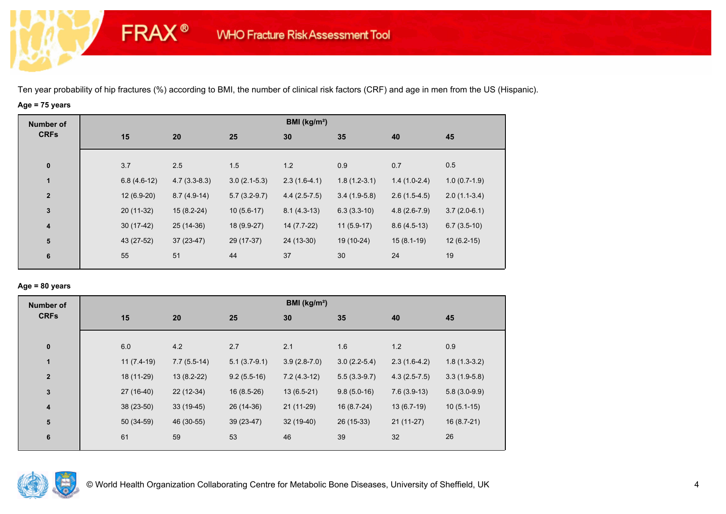# **Age = 75 years**

**FRAX®** 

| <b>Number of</b>        |     |                                 |                | BMI (kg/m <sup>2</sup> ) |                |                |                |
|-------------------------|-----|---------------------------------|----------------|--------------------------|----------------|----------------|----------------|
| <b>CRFs</b>             | 15  | 20                              | 25             | 30                       | 35             | 40             | 45             |
| $\bf{0}$                | 3.7 | 2.5                             | 1.5            | 1.2                      | 0.9            | 0.7            | 0.5            |
| $\mathbf{1}$            |     | $4.7(3.3-8.3)$<br>$6.8(4.6-12)$ | $3.0(2.1-5.3)$ | $2.3(1.6-4.1)$           | $1.8(1.2-3.1)$ | $1.4(1.0-2.4)$ | $1.0(0.7-1.9)$ |
| $\overline{\mathbf{2}}$ |     | $12(6.9-20)$<br>$8.7(4.9-14)$   | $5.7(3.2-9.7)$ | $4.4(2.5-7.5)$           | $3.4(1.9-5.8)$ | $2.6(1.5-4.5)$ | $2.0(1.1-3.4)$ |
| $\mathbf 3$             |     | 20 (11-32)<br>$15(8.2-24)$      | $10(5.6-17)$   | $8.1(4.3-13)$            | $6.3(3.3-10)$  | $4.8(2.6-7.9)$ | $3.7(2.0-6.1)$ |
| $\overline{\mathbf{4}}$ |     | $30(17-42)$<br>25 (14-36)       | 18 (9.9-27)    | 14 (7.7-22)              | $11(5.9-17)$   | $8.6(4.5-13)$  | $6.7(3.5-10)$  |
| 5                       |     | 43 (27-52)<br>$37(23-47)$       | 29 (17-37)     | 24 (13-30)               | 19 (10-24)     | $15(8.1-19)$   | $12(6.2-15)$   |
| 6                       | 55  | 51                              | 44             | 37                       | 30             | 24             | 19             |
|                         |     |                                 |                |                          |                |                |                |

### **Age = 80 years**

| <b>Number of</b>        |              |               |                | BMI ( $kg/m2$ ) |                |                |                |
|-------------------------|--------------|---------------|----------------|-----------------|----------------|----------------|----------------|
| <b>CRFs</b>             | 15           | 20            | 25             | 30              | 35             | 40             | 45             |
| $\pmb{0}$               | 6.0          | 4.2           | 2.7            | 2.1             | 1.6            | 1.2            | 0.9            |
| $\blacksquare$          | $11(7.4-19)$ | $7.7(5.5-14)$ | $5.1(3.7-9.1)$ | $3.9(2.8-7.0)$  | $3.0(2.2-5.4)$ | $2.3(1.6-4.2)$ | $1.8(1.3-3.2)$ |
| $\mathbf{2}$            | 18 (11-29)   | $13(8.2-22)$  | $9.2(5.5-16)$  | $7.2(4.3-12)$   | $5.5(3.3-9.7)$ | $4.3(2.5-7.5)$ | $3.3(1.9-5.8)$ |
| $\mathbf{3}$            | 27 (16-40)   | 22 (12-34)    | $16(8.5-26)$   | $13(6.5-21)$    | $9.8(5.0-16)$  | $7.6(3.9-13)$  | $5.8(3.0-9.9)$ |
| $\overline{\mathbf{4}}$ | $38(23-50)$  | $33(19-45)$   | 26 (14-36)     | $21(11-29)$     | $16(8.7-24)$   | $13(6.7-19)$   | $10(5.1-15)$   |
| 5                       | 50 (34-59)   | 46 (30-55)    | $39(23-47)$    | $32(19-40)$     | 26 (15-33)     | $21(11-27)$    | $16(8.7-21)$   |
| 6                       | 61           | 59            | 53             | 46              | 39             | 32             | 26             |